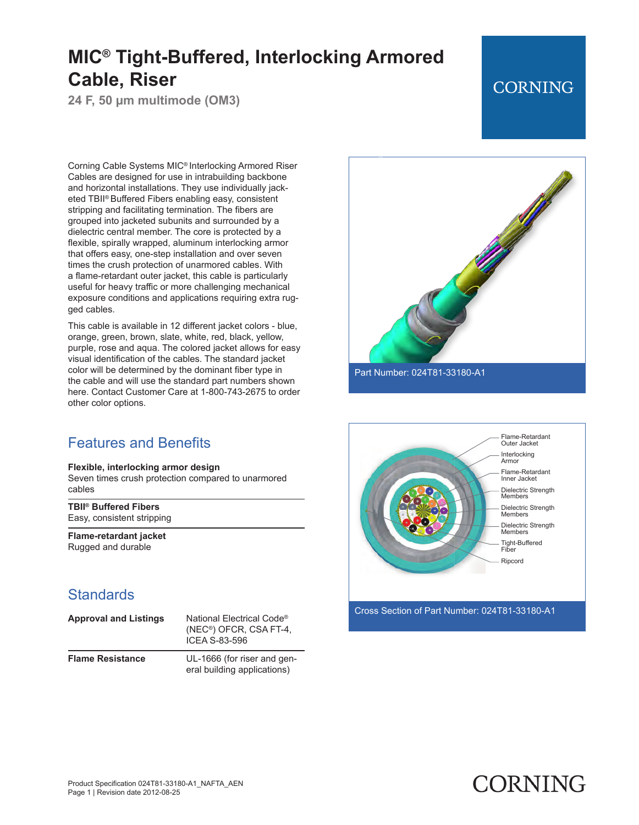**24 F, 50 µm multimode (OM3)**

## **CORNING**

Corning Cable Systems MIC® Interlocking Armored Riser Cables are designed for use in intrabuilding backbone and horizontal installations. They use individually jacketed TBII® Buffered Fibers enabling easy, consistent stripping and facilitating termination. The fibers are grouped into jacketed subunits and surrounded by a dielectric central member. The core is protected by a flexible, spirally wrapped, aluminum interlocking armor that offers easy, one-step installation and over seven times the crush protection of unarmored cables. With a flame-retardant outer jacket, this cable is particularly useful for heavy traffic or more challenging mechanical exposure conditions and applications requiring extra rugged cables.

This cable is available in 12 different jacket colors - blue, orange, green, brown, slate, white, red, black, yellow, purple, rose and aqua. The colored jacket allows for easy visual identification of the cables. The standard jacket color will be determined by the dominant fiber type in the cable and will use the standard part numbers shown here. Contact Customer Care at 1-800-743-2675 to order other color options.

#### Features and Benefits

#### **Flexible, interlocking armor design**

Seven times crush protection compared to unarmored cables

**TBII® Buffered Fibers** Easy, consistent stripping

**Flame-retardant jacket** Rugged and durable

#### **Standards**

| <b>Approval and Listings</b> | National Electrical Code <sup>®</sup><br>(NEC <sup>®</sup> ) OFCR, CSA FT-4,<br>ICEA S-83-596 |
|------------------------------|-----------------------------------------------------------------------------------------------|
| <b>Flame Resistance</b>      | UL-1666 (for riser and gen-<br>eral building applications)                                    |



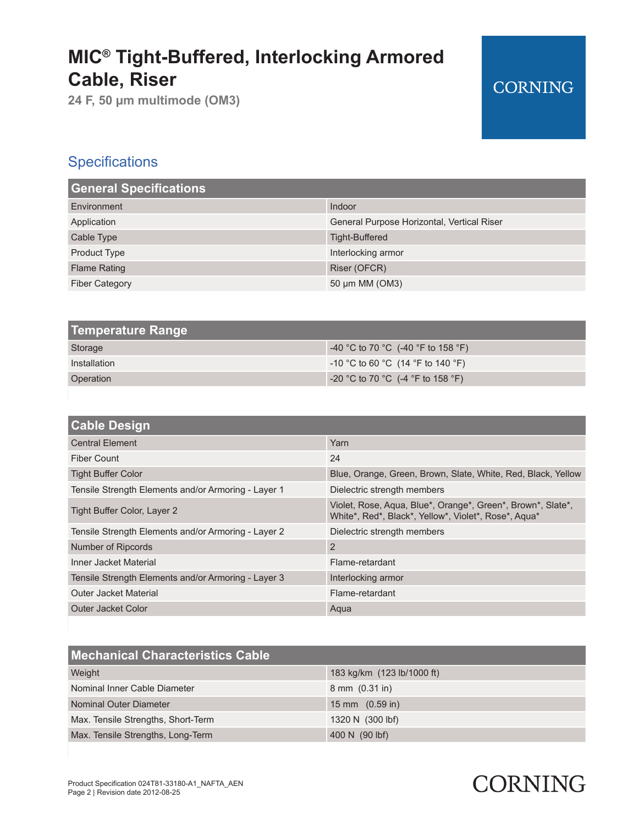**24 F, 50 µm multimode (OM3)**

## **CORNING**

## **Specifications**

| <b>General Specifications</b> |                                            |
|-------------------------------|--------------------------------------------|
| Environment                   | Indoor                                     |
| Application                   | General Purpose Horizontal, Vertical Riser |
| Cable Type                    | Tight-Buffered                             |
| <b>Product Type</b>           | Interlocking armor                         |
| <b>Flame Rating</b>           | Riser (OFCR)                               |
| <b>Fiber Category</b>         | 50 µm MM (OM3)                             |

| <b>Temperature Range</b> |                                          |
|--------------------------|------------------------------------------|
| Storage                  | $-40$ °C to 70 °C (-40 °F to 158 °F)     |
| Installation             | $-10$ °C to 60 °C (14 °F to 140 °F)      |
| Operation                | $\sim$ -20 °C to 70 °C (-4 °F to 158 °F) |

| <b>Cable Design</b>                                 |                                                                                                                     |
|-----------------------------------------------------|---------------------------------------------------------------------------------------------------------------------|
| <b>Central Element</b>                              | Yarn                                                                                                                |
| Fiber Count                                         | 24                                                                                                                  |
| <b>Tight Buffer Color</b>                           | Blue, Orange, Green, Brown, Slate, White, Red, Black, Yellow                                                        |
| Tensile Strength Elements and/or Armoring - Layer 1 | Dielectric strength members                                                                                         |
| Tight Buffer Color, Layer 2                         | Violet, Rose, Aqua, Blue*, Orange*, Green*, Brown*, Slate*,<br>White*, Red*, Black*, Yellow*, Violet*, Rose*, Aqua* |
| Tensile Strength Elements and/or Armoring - Layer 2 | Dielectric strength members                                                                                         |
| Number of Ripcords                                  | 2                                                                                                                   |
| Inner Jacket Material                               | Flame-retardant                                                                                                     |
| Tensile Strength Elements and/or Armoring - Layer 3 | Interlocking armor                                                                                                  |
| Outer Jacket Material                               | Flame-retardant                                                                                                     |
| Outer Jacket Color                                  | Aqua                                                                                                                |

| <b>Mechanical Characteristics Cable</b> |                            |
|-----------------------------------------|----------------------------|
| Weight                                  | 183 kg/km (123 lb/1000 ft) |
| Nominal Inner Cable Diameter            | $8 \, \text{mm}$ (0.31 in) |
| Nominal Outer Diameter                  | 15 mm $(0.59$ in)          |
| Max. Tensile Strengths, Short-Term      | 1320 N (300 lbf)           |
| Max. Tensile Strengths, Long-Term       | 400 N (90 lbf)             |

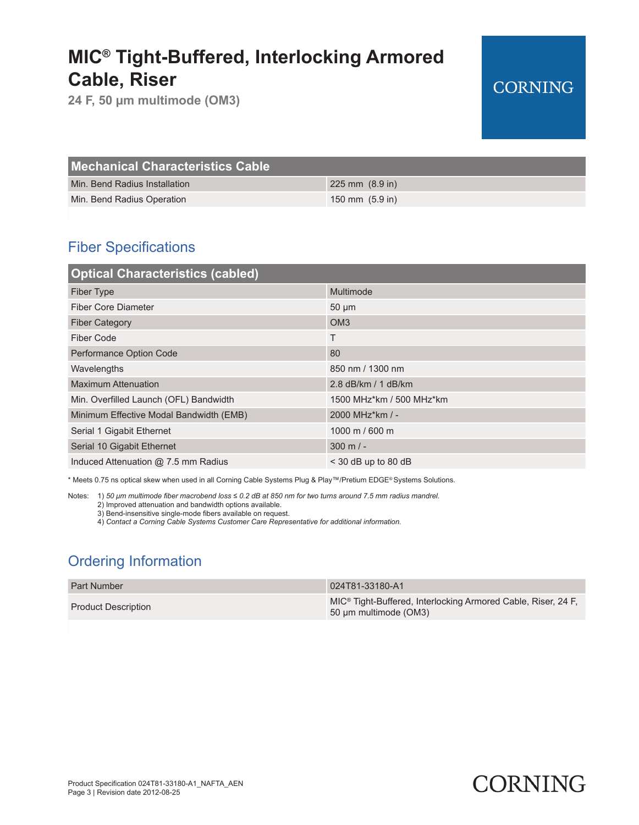**24 F, 50 µm multimode (OM3)**

## **CORNING**

| <b>Mechanical Characteristics Cable</b> |                           |
|-----------------------------------------|---------------------------|
| Min. Bend Radius Installation           | $225 \text{ mm}$ (8.9 in) |
| Min. Bend Radius Operation              | $150 \text{ mm}$ (5.9 in) |

### Fiber Specifications

| <b>Optical Characteristics (cabled)</b> |                          |
|-----------------------------------------|--------------------------|
| <b>Fiber Type</b>                       | Multimode                |
| <b>Fiber Core Diameter</b>              | $50 \mu m$               |
| <b>Fiber Category</b>                   | OM <sub>3</sub>          |
| Fiber Code                              | Τ                        |
| Performance Option Code                 | 80                       |
| Wavelengths                             | 850 nm / 1300 nm         |
| <b>Maximum Attenuation</b>              | 2.8 dB/km / 1 dB/km      |
| Min. Overfilled Launch (OFL) Bandwidth  | 1500 MHz*km / 500 MHz*km |
| Minimum Effective Modal Bandwidth (EMB) | 2000 MHz*km / -          |
| Serial 1 Gigabit Ethernet               | 1000 m / 600 m           |
| Serial 10 Gigabit Ethernet              | $300 \text{ m}$ / -      |
| Induced Attenuation @ 7.5 mm Radius     | $<$ 30 dB up to 80 dB    |

\* Meets 0.75 ns optical skew when used in all Corning Cable Systems Plug & Play™/Pretium EDGE® Systems Solutions.

Notes: 1) *50 μm multimode fiber macrobend loss ≤ 0.2 dB at 850 nm for two turns around 7.5 mm radius mandrel.*

2) Improved attenuation and bandwidth options available.

3) Bend-insensitive single-mode fibers available on request.

4) *Contact a Corning Cable Systems Customer Care Representative for additional information.*

### Ordering Information

| <b>Part Number</b>         | 024T81-33180-A1                                                                                    |
|----------------------------|----------------------------------------------------------------------------------------------------|
| <b>Product Description</b> | MIC <sup>®</sup> Tight-Buffered, Interlocking Armored Cable, Riser, 24 F.<br>50 µm multimode (OM3) |